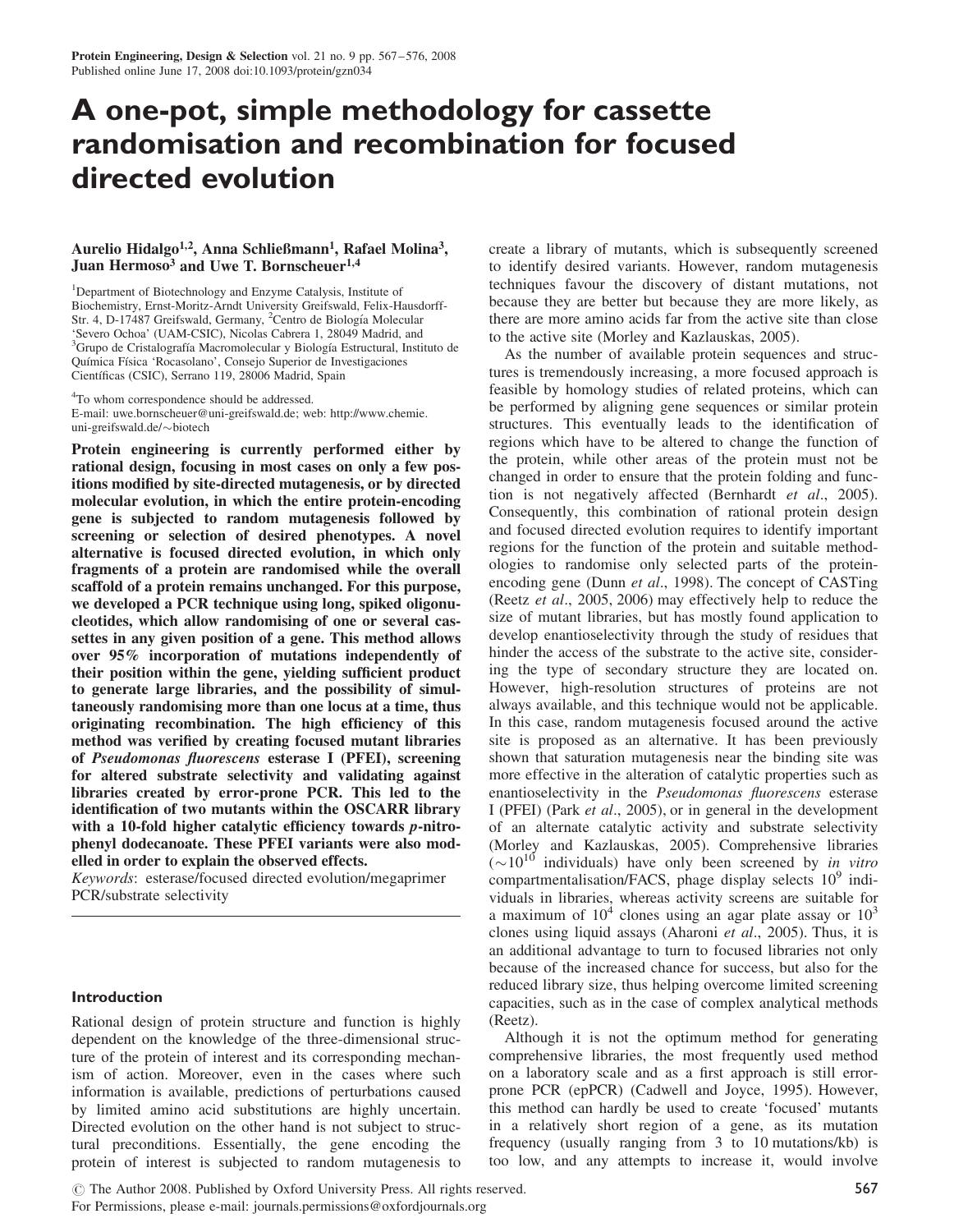# A one-pot, simple methodology for cassette randomisation and recombination for focused directed evolution

## Aurelio Hidalgo<sup>1,2</sup>, Anna Schließmann<sup>1</sup>, Rafael Molina<sup>3</sup>, Juan Hermoso<sup>3</sup> and Uwe T. Bornscheuer<sup>1,4</sup>

<sup>1</sup>Department of Biotechnology and Enzyme Catalysis, Institute of Biochemistry, Ernst-Moritz-Arndt University Greifswald, Felix-Hausdorff-Str. 4, D-17487 Greifswald, Germany, <sup>2</sup>Centro de Biología Molecular 'Severo Ochoa' (UAM-CSIC), Nicolas Cabrera 1, 28049 Madrid, and <sup>3</sup>Grupo de Cristalografía Macromolecular y Biología Estructural, Instituto de Química Física 'Rocasolano', Consejo Superior de Investigaciones Científicas (CSIC), Serrano 119, 28006 Madrid, Spain

<sup>4</sup>To whom correspondence should be addressed. E-mail: uwe.bornscheuer@uni-greifswald.de; web: http://www.chemie. uni-greifswald.de/-biotech

Protein engineering is currently performed either by rational design, focusing in most cases on only a few positions modified by site-directed mutagenesis, or by directed molecular evolution, in which the entire protein-encoding gene is subjected to random mutagenesis followed by screening or selection of desired phenotypes. A novel alternative is focused directed evolution, in which only fragments of a protein are randomised while the overall scaffold of a protein remains unchanged. For this purpose, we developed a PCR technique using long, spiked oligonucleotides, which allow randomising of one or several cassettes in any given position of a gene. This method allows over 95% incorporation of mutations independently of their position within the gene, yielding sufficient product to generate large libraries, and the possibility of simultaneously randomising more than one locus at a time, thus originating recombination. The high efficiency of this method was verified by creating focused mutant libraries of Pseudomonas fluorescens esterase I (PFEI), screening for altered substrate selectivity and validating against libraries created by error-prone PCR. This led to the identification of two mutants within the OSCARR library with a 10-fold higher catalytic efficiency towards *p*-nitrophenyl dodecanoate. These PFEI variants were also modelled in order to explain the observed effects.

Keywords: esterase/focused directed evolution/megaprimer PCR/substrate selectivity

## Introduction

Rational design of protein structure and function is highly dependent on the knowledge of the three-dimensional structure of the protein of interest and its corresponding mechanism of action. Moreover, even in the cases where such information is available, predictions of perturbations caused by limited amino acid substitutions are highly uncertain. Directed evolution on the other hand is not subject to structural preconditions. Essentially, the gene encoding the protein of interest is subjected to random mutagenesis to

create a library of mutants, which is subsequently screened to identify desired variants. However, random mutagenesis techniques favour the discovery of distant mutations, not because they are better but because they are more likely, as there are more amino acids far from the active site than close to the active site (Morley and Kazlauskas, 2005).

As the number of available protein sequences and structures is tremendously increasing, a more focused approach is feasible by homology studies of related proteins, which can be performed by aligning gene sequences or similar protein structures. This eventually leads to the identification of regions which have to be altered to change the function of the protein, while other areas of the protein must not be changed in order to ensure that the protein folding and function is not negatively affected (Bernhardt et al., 2005). Consequently, this combination of rational protein design and focused directed evolution requires to identify important regions for the function of the protein and suitable methodologies to randomise only selected parts of the proteinencoding gene (Dunn *et al.*, 1998). The concept of CASTing (Reetz et al., 2005, 2006) may effectively help to reduce the size of mutant libraries, but has mostly found application to develop enantioselectivity through the study of residues that hinder the access of the substrate to the active site, considering the type of secondary structure they are located on. However, high-resolution structures of proteins are not always available, and this technique would not be applicable. In this case, random mutagenesis focused around the active site is proposed as an alternative. It has been previously shown that saturation mutagenesis near the binding site was more effective in the alteration of catalytic properties such as enantioselectivity in the Pseudomonas fluorescens esterase I (PFEI) (Park et al., 2005), or in general in the development of an alternate catalytic activity and substrate selectivity (Morley and Kazlauskas, 2005). Comprehensive libraries  $({\sim}10^{10}$  individuals) have only been screened by in vitro compartmentalisation/FACS, phage display selects  $10<sup>9</sup>$  individuals in libraries, whereas activity screens are suitable for a maximum of  $10^4$  clones using an agar plate assay or  $10^3$ clones using liquid assays (Aharoni et al., 2005). Thus, it is an additional advantage to turn to focused libraries not only because of the increased chance for success, but also for the reduced library size, thus helping overcome limited screening capacities, such as in the case of complex analytical methods (Reetz).

Although it is not the optimum method for generating comprehensive libraries, the most frequently used method on a laboratory scale and as a first approach is still errorprone PCR (epPCR) (Cadwell and Joyce, 1995). However, this method can hardly be used to create 'focused' mutants in a relatively short region of a gene, as its mutation frequency (usually ranging from 3 to 10 mutations/kb) is too low, and any attempts to increase it, would involve

© The Author 2008. Published by Oxford University Press. All rights reserved.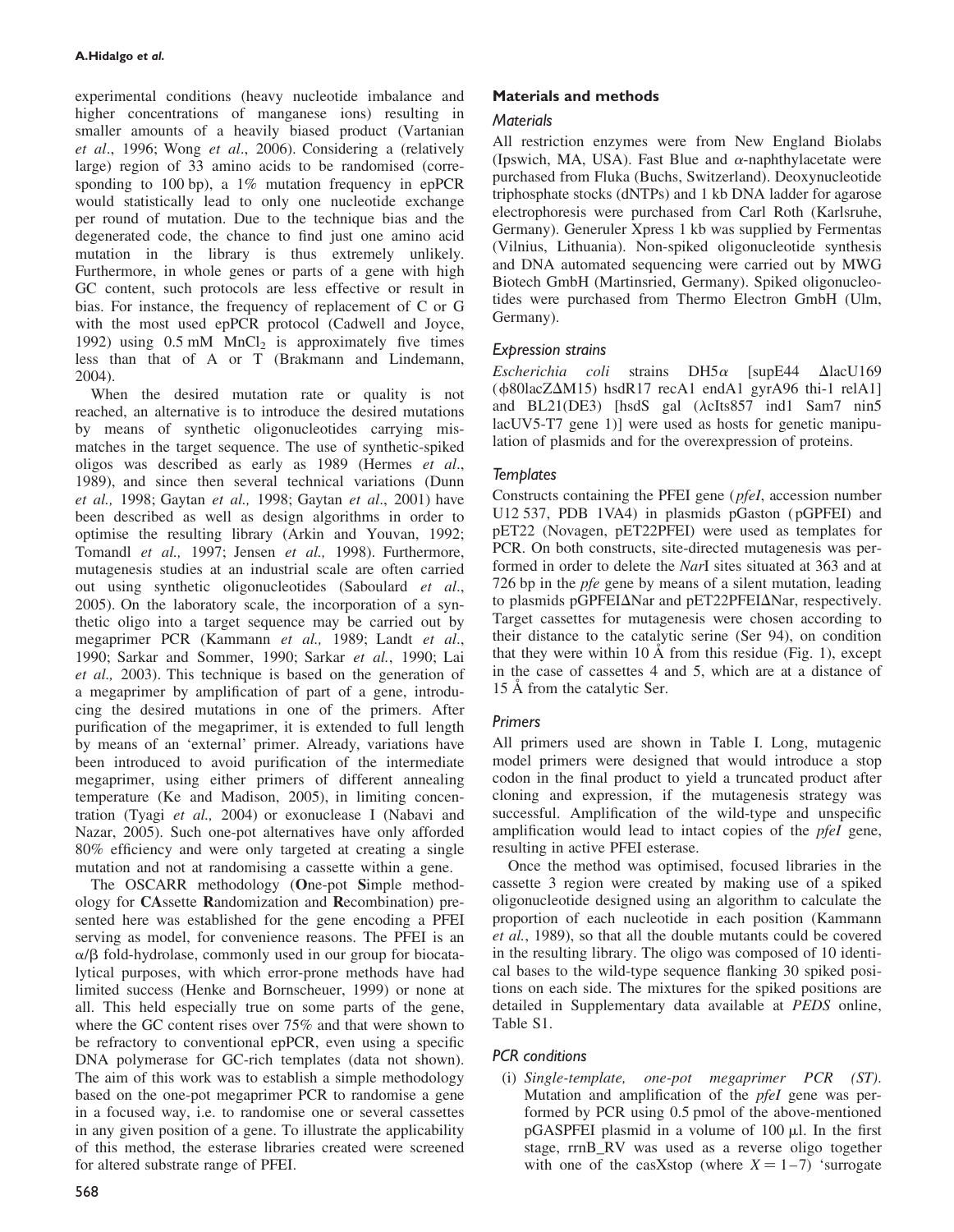experimental conditions (heavy nucleotide imbalance and higher concentrations of manganese ions) resulting in smaller amounts of a heavily biased product (Vartanian et al., 1996; Wong et al., 2006). Considering a (relatively large) region of 33 amino acids to be randomised (corresponding to 100 bp), a 1% mutation frequency in epPCR would statistically lead to only one nucleotide exchange per round of mutation. Due to the technique bias and the degenerated code, the chance to find just one amino acid mutation in the library is thus extremely unlikely. Furthermore, in whole genes or parts of a gene with high GC content, such protocols are less effective or result in bias. For instance, the frequency of replacement of C or G with the most used epPCR protocol (Cadwell and Joyce, 1992) using  $0.5$  mM MnCl<sub>2</sub> is approximately five times less than that of A or T (Brakmann and Lindemann, 2004).

When the desired mutation rate or quality is not reached, an alternative is to introduce the desired mutations by means of synthetic oligonucleotides carrying mismatches in the target sequence. The use of synthetic-spiked oligos was described as early as 1989 (Hermes et al., 1989), and since then several technical variations (Dunn et al., 1998; Gaytan et al., 1998; Gaytan et al., 2001) have been described as well as design algorithms in order to optimise the resulting library (Arkin and Youvan, 1992; Tomandl et al., 1997; Jensen et al., 1998). Furthermore, mutagenesis studies at an industrial scale are often carried out using synthetic oligonucleotides (Saboulard et al., 2005). On the laboratory scale, the incorporation of a synthetic oligo into a target sequence may be carried out by megaprimer PCR (Kammann et al., 1989; Landt et al., 1990; Sarkar and Sommer, 1990; Sarkar et al., 1990; Lai et al., 2003). This technique is based on the generation of a megaprimer by amplification of part of a gene, introducing the desired mutations in one of the primers. After purification of the megaprimer, it is extended to full length by means of an 'external' primer. Already, variations have been introduced to avoid purification of the intermediate megaprimer, using either primers of different annealing temperature (Ke and Madison, 2005), in limiting concentration (Tyagi et al., 2004) or exonuclease I (Nabavi and Nazar, 2005). Such one-pot alternatives have only afforded 80% efficiency and were only targeted at creating a single mutation and not at randomising a cassette within a gene.

The OSCARR methodology (One-pot Simple methodology for CAssette Randomization and Recombination) presented here was established for the gene encoding a PFEI serving as model, for convenience reasons. The PFEI is an  $\alpha/\beta$  fold-hydrolase, commonly used in our group for biocatalytical purposes, with which error-prone methods have had limited success (Henke and Bornscheuer, 1999) or none at all. This held especially true on some parts of the gene, where the GC content rises over 75% and that were shown to be refractory to conventional epPCR, even using a specific DNA polymerase for GC-rich templates (data not shown). The aim of this work was to establish a simple methodology based on the one-pot megaprimer PCR to randomise a gene in a focused way, i.e. to randomise one or several cassettes in any given position of a gene. To illustrate the applicability of this method, the esterase libraries created were screened for altered substrate range of PFEI.

# Materials and methods

## **Materials**

All restriction enzymes were from New England Biolabs (Ipswich, MA, USA). Fast Blue and  $\alpha$ -naphthylacetate were purchased from Fluka (Buchs, Switzerland). Deoxynucleotide triphosphate stocks (dNTPs) and 1 kb DNA ladder for agarose electrophoresis were purchased from Carl Roth (Karlsruhe, Germany). Generuler Xpress 1 kb was supplied by Fermentas (Vilnius, Lithuania). Non-spiked oligonucleotide synthesis and DNA automated sequencing were carried out by MWG Biotech GmbH (Martinsried, Germany). Spiked oligonucleotides were purchased from Thermo Electron GmbH (Ulm, Germany).

## Expression strains

Escherichia coli strains  $DH5\alpha$  [supE44  $\Delta$ lacU169  $(\phi 80$ lacZ $\Delta M15)$  hsdR17 recA1 endA1 gyrA96 thi-1 relA1] and BL21(DE3) [hsdS gal  $(\lambda cIts857 \text{ ind1}$  Sam7 nin5 lacUV5-T7 gene 1)] were used as hosts for genetic manipulation of plasmids and for the overexpression of proteins.

## **Templates**

Constructs containing the PFEI gene (pfeI, accession number U12 537, PDB 1VA4) in plasmids pGaston ( pGPFEI) and pET22 (Novagen, pET22PFEI) were used as templates for PCR. On both constructs, site-directed mutagenesis was performed in order to delete the NarI sites situated at 363 and at 726 bp in the *pfe* gene by means of a silent mutation, leading to plasmids pGPFEI $\Delta$ Nar and pET22PFEI $\Delta$ Nar, respectively. Target cassettes for mutagenesis were chosen according to their distance to the catalytic serine (Ser 94), on condition that they were within 10  $\AA$  from this residue (Fig. 1), except in the case of cassettes 4 and 5, which are at a distance of 15 A from the catalytic Ser.

# Primers

All primers used are shown in Table I. Long, mutagenic model primers were designed that would introduce a stop codon in the final product to yield a truncated product after cloning and expression, if the mutagenesis strategy was successful. Amplification of the wild-type and unspecific amplification would lead to intact copies of the *pfeI* gene, resulting in active PFEI esterase.

Once the method was optimised, focused libraries in the cassette 3 region were created by making use of a spiked oligonucleotide designed using an algorithm to calculate the proportion of each nucleotide in each position (Kammann et al., 1989), so that all the double mutants could be covered in the resulting library. The oligo was composed of 10 identical bases to the wild-type sequence flanking 30 spiked positions on each side. The mixtures for the spiked positions are detailed in Supplementary data available at PEDS online, Table S1.

# PCR conditions

(i) Single-template, one-pot megaprimer PCR (ST). Mutation and amplification of the *pfeI* gene was performed by PCR using 0.5 pmol of the above-mentioned  $pGASPFEI$  plasmid in a volume of 100  $\mu$ l. In the first stage, rrnB\_RV was used as a reverse oligo together with one of the casXstop (where  $X = 1 - 7$ ) 'surrogate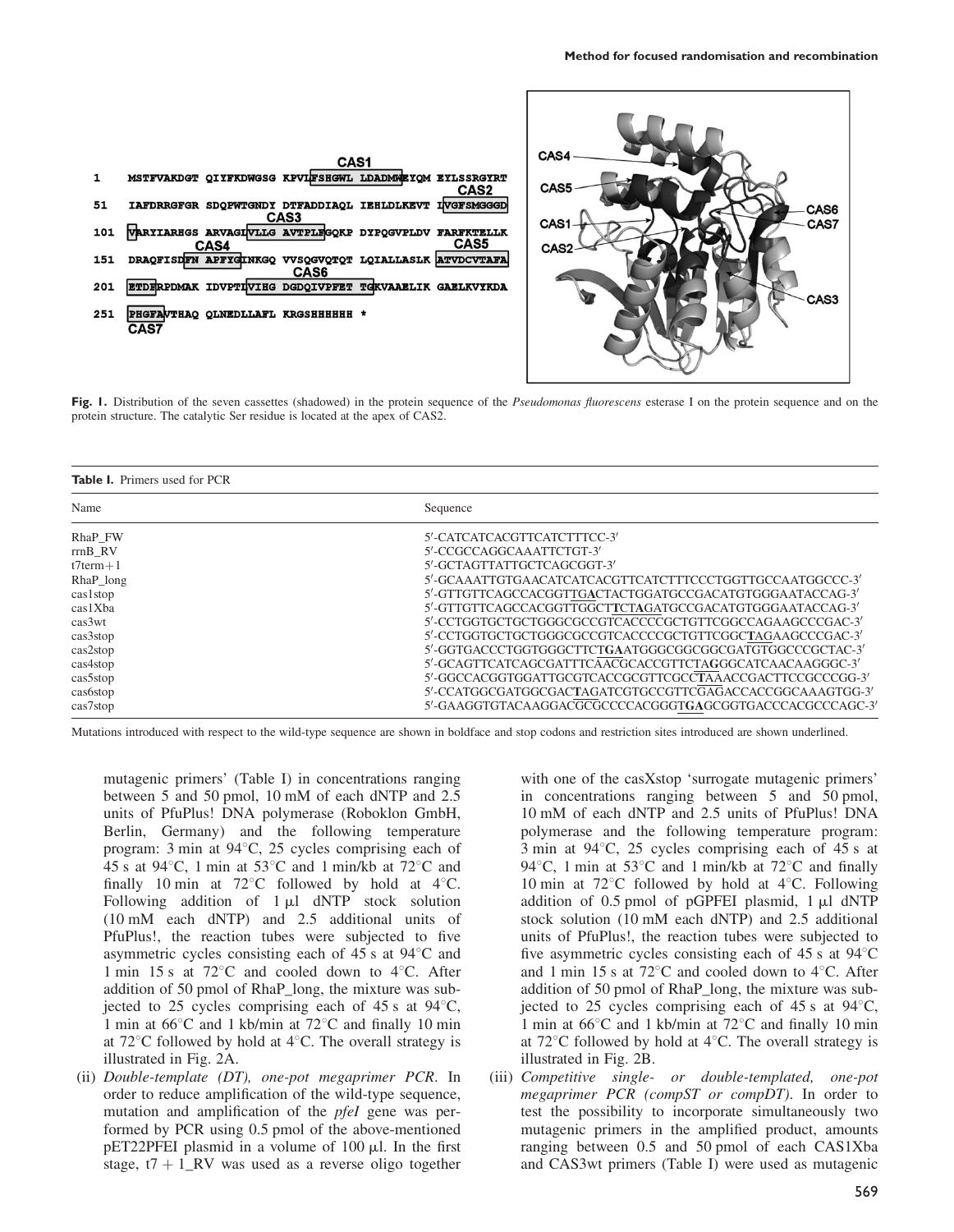

Fig. 1. Distribution of the seven cassettes (shadowed) in the protein sequence of the Pseudomonas fluorescens esterase I on the protein sequence and on the protein structure. The catalytic Ser residue is located at the apex of CAS2.

|  | <b>Table I.</b> Primers used for PCR |  |  |  |  |
|--|--------------------------------------|--|--|--|--|
|--|--------------------------------------|--|--|--|--|

| Name           | Sequence                                                 |
|----------------|----------------------------------------------------------|
| RhaP FW        | 5'-CATCATCACGTTCATCTTTCC-3'                              |
| rrnB RV        | 5'-CCGCCAGGCAAATTCTGT-3'                                 |
| $t7$ term $+1$ | 5'-GCTAGTTATTGCTCAGCGGT-3'                               |
| RhaP_long      | 5'-GCAAATTGTGAACATCATCACGTTCATCTTTCCCTGGTTGCCAATGGCCC-3' |
| cas1stop       | 5'-GTTGTTCAGCCACGGTTGACTACTGGATGCCGACATGTGGGAATACCAG-3'  |
| cas1Xba        | 5'-GTTGTTCAGCCACGGTTGGCTTCTAGATGCCGACATGTGGGAATACCAG-3'  |
| cas3wt         | 5'-CCTGGTGCTGCTGGGCGCCGTCACCCCGCTGTTCGGCCAGAAGCCCGAC-3'  |
| cas3stop       | 5'-CCTGGTGCTGCTGGGCGCCGTCACCCCGCTGTTCGGCTAGAAGCCCGAC-3'  |
| cas2stop       | 5'-GGTGACCCTGGTGGCTTCTGAATGGGCGGCGGCGATGTGGCCCGCTAC-3'   |
| cas4stop       | 5'-GCAGTTCATCAGCGATTTCAACGCACCGTTCTAGGGCATCAACAAGGGC-3'  |
| cas5stop       | 5'-GGCCACGGTGGATTGCGTCACCGCGTTCGCCTAAACCGACTTCCGCCCGG-3' |
| cas6stop       | 5'-CCATGGCGATGGCGACTAGATCGTGCCGTTCGAGACCACCGGCAAAGTGG-3' |
| cas7stop       | 5'-GAAGGTGTACAAGGACGCGCCCCACGGGTGAGCGGTGACCCACGCCCAGC-3' |

Mutations introduced with respect to the wild-type sequence are shown in boldface and stop codons and restriction sites introduced are shown underlined.

mutagenic primers' (Table I) in concentrations ranging between 5 and 50 pmol, 10 mM of each dNTP and 2.5 units of PfuPlus! DNA polymerase (Roboklon GmbH, Berlin, Germany) and the following temperature program: 3 min at  $94^{\circ}$ C, 25 cycles comprising each of 45 s at 94 $\degree$ C, 1 min at 53 $\degree$ C and 1 min/kb at 72 $\degree$ C and finally 10 min at  $72^{\circ}$ C followed by hold at  $4^{\circ}$ C. Following addition of  $1 \mu l$  dNTP stock solution (10 mM each dNTP) and 2.5 additional units of PfuPlus!, the reaction tubes were subjected to five asymmetric cycles consisting each of  $45$  s at  $94^{\circ}$ C and 1 min 15 s at 72 $\degree$ C and cooled down to 4 $\degree$ C. After addition of 50 pmol of RhaP\_long, the mixture was subjected to 25 cycles comprising each of 45 s at  $94^{\circ}$ C, 1 min at  $66^{\circ}$ C and 1 kb/min at  $72^{\circ}$ C and finally 10 min at  $72^{\circ}$ C followed by hold at  $4^{\circ}$ C. The overall strategy is illustrated in Fig. 2A.

(ii) Double-template (DT), one-pot megaprimer PCR. In order to reduce amplification of the wild-type sequence, mutation and amplification of the *pfeI* gene was performed by PCR using 0.5 pmol of the above-mentioned  $pET22$ PFEI plasmid in a volume of 100  $\mu$ l. In the first stage,  $t7 + 1$ \_RV was used as a reverse oligo together

with one of the casXstop 'surrogate mutagenic primers' in concentrations ranging between 5 and 50 pmol, 10 mM of each dNTP and 2.5 units of PfuPlus! DNA polymerase and the following temperature program: 3 min at  $94^{\circ}$ C, 25 cycles comprising each of 45 s at 94 $\degree$ C, 1 min at 53 $\degree$ C and 1 min/kb at 72 $\degree$ C and finally 10 min at  $72^{\circ}$ C followed by hold at  $4^{\circ}$ C. Following addition of  $0.5$  pmol of pGPFEI plasmid,  $1 \mu l$  dNTP stock solution (10 mM each dNTP) and 2.5 additional units of PfuPlus!, the reaction tubes were subjected to five asymmetric cycles consisting each of  $45$  s at  $94^{\circ}$ C and 1 min 15 s at 72 $\degree$ C and cooled down to 4 $\degree$ C. After addition of 50 pmol of RhaP\_long, the mixture was subjected to 25 cycles comprising each of 45 s at  $94^{\circ}$ C, 1 min at  $66^{\circ}$ C and 1 kb/min at  $72^{\circ}$ C and finally 10 min at  $72^{\circ}$ C followed by hold at  $4^{\circ}$ C. The overall strategy is illustrated in Fig. 2B.

(iii) Competitive single- or double-templated, one-pot megaprimer PCR (compST or compDT). In order to test the possibility to incorporate simultaneously two mutagenic primers in the amplified product, amounts ranging between 0.5 and 50 pmol of each CAS1Xba and CAS3wt primers (Table I) were used as mutagenic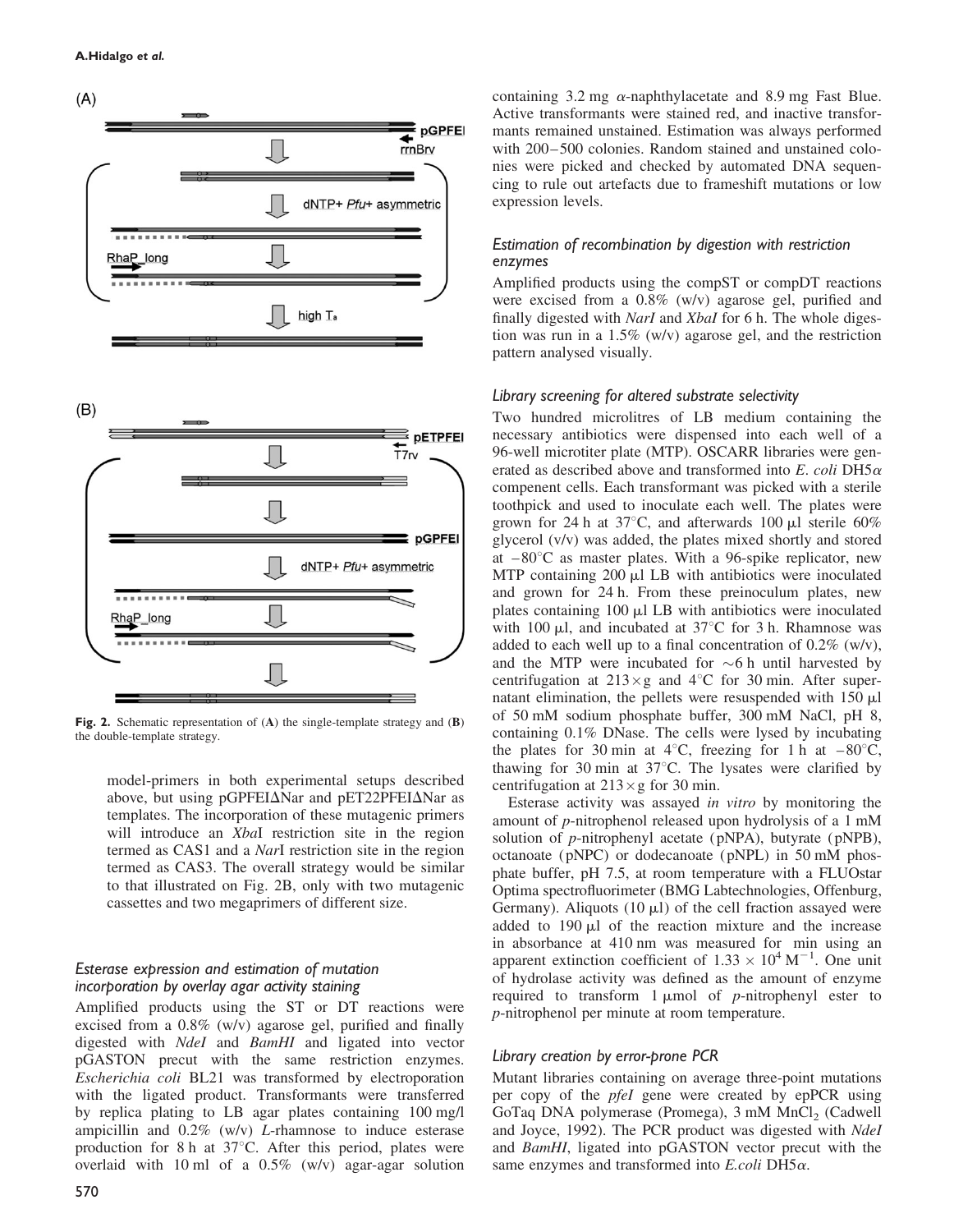

 $(B)$ 



Fig. 2. Schematic representation of (A) the single-template strategy and (B) the double-template strategy.

model-primers in both experimental setups described above, but using pGPFEI $\Delta$ Nar and pET22PFEI $\Delta$ Nar as templates. The incorporation of these mutagenic primers will introduce an *XbaI* restriction site in the region termed as CAS1 and a NarI restriction site in the region termed as CAS3. The overall strategy would be similar to that illustrated on Fig. 2B, only with two mutagenic cassettes and two megaprimers of different size.

## Esterase expression and estimation of mutation incorporation by overlay agar activity staining

Amplified products using the ST or DT reactions were excised from a 0.8% (w/v) agarose gel, purified and finally digested with NdeI and BamHI and ligated into vector pGASTON precut with the same restriction enzymes. Escherichia coli BL21 was transformed by electroporation with the ligated product. Transformants were transferred by replica plating to LB agar plates containing 100 mg/l ampicillin and 0.2% (w/v) L-rhamnose to induce esterase production for 8 h at  $37^{\circ}$ C. After this period, plates were overlaid with 10 ml of a 0.5% (w/v) agar-agar solution containing 3.2 mg  $\alpha$ -naphthylacetate and 8.9 mg Fast Blue. Active transformants were stained red, and inactive transformants remained unstained. Estimation was always performed with 200-500 colonies. Random stained and unstained colonies were picked and checked by automated DNA sequencing to rule out artefacts due to frameshift mutations or low expression levels.

# Estimation of recombination by digestion with restriction enzymes

Amplified products using the compST or compDT reactions were excised from a 0.8% (w/v) agarose gel, purified and finally digested with *NarI* and *XbaI* for 6 h. The whole digestion was run in a 1.5% (w/v) agarose gel, and the restriction pattern analysed visually.

## Library screening for altered substrate selectivity

Two hundred microlitres of LB medium containing the necessary antibiotics were dispensed into each well of a 96-well microtiter plate (MTP). OSCARR libraries were generated as described above and transformed into  $E$ . coli DH5 $\alpha$ compenent cells. Each transformant was picked with a sterile toothpick and used to inoculate each well. The plates were grown for 24 h at 37 $\degree$ C, and afterwards 100 µl sterile 60% glycerol (v/v) was added, the plates mixed shortly and stored at  $-80^{\circ}$ C as master plates. With a 96-spike replicator, new MTP containing  $200 \mu$ l LB with antibiotics were inoculated and grown for 24 h. From these preinoculum plates, new plates containing  $100 \mu l$  LB with antibiotics were inoculated with 100  $\mu$ l, and incubated at 37°C for 3 h. Rhamnose was added to each well up to a final concentration of  $0.2\%$  (w/v), and the MTP were incubated for  $\sim$ 6 h until harvested by centrifugation at  $213 \times g$  and  $4^{\circ}$ C for 30 min. After supernatant elimination, the pellets were resuspended with  $150 \mu l$ of 50 mM sodium phosphate buffer, 300 mM NaCl, pH 8, containing 0.1% DNase. The cells were lysed by incubating the plates for 30 min at 4°C, freezing for 1 h at  $-80^{\circ}$ C, thawing for 30 min at  $37^{\circ}$ C. The lysates were clarified by centrifugation at  $213 \times g$  for 30 min.

Esterase activity was assayed in vitro by monitoring the amount of p-nitrophenol released upon hydrolysis of a 1 mM solution of  $p$ -nitrophenyl acetate ( $pNPA$ ), butyrate ( $pNPB$ ), octanoate ( pNPC) or dodecanoate ( pNPL) in 50 mM phosphate buffer, pH 7.5, at room temperature with a FLUOstar Optima spectrofluorimeter (BMG Labtechnologies, Offenburg, Germany). Aliquots (10  $\mu$ l) of the cell fraction assayed were added to  $190 \mu l$  of the reaction mixture and the increase in absorbance at 410 nm was measured for min using an apparent extinction coefficient of  $1.33 \times 10^4$  M<sup>-1</sup>. One unit of hydrolase activity was defined as the amount of enzyme required to transform  $1 \mu \text{mol}$  of p-nitrophenyl ester to p-nitrophenol per minute at room temperature.

# Library creation by error-prone PCR

Mutant libraries containing on average three-point mutations per copy of the *pfeI* gene were created by epPCR using GoTaq DNA polymerase (Promega),  $3 \text{ mM } MnCl_2$  (Cadwell and Joyce, 1992). The PCR product was digested with NdeI and BamHI, ligated into pGASTON vector precut with the same enzymes and transformed into  $E.$ *coli* DH5 $\alpha$ .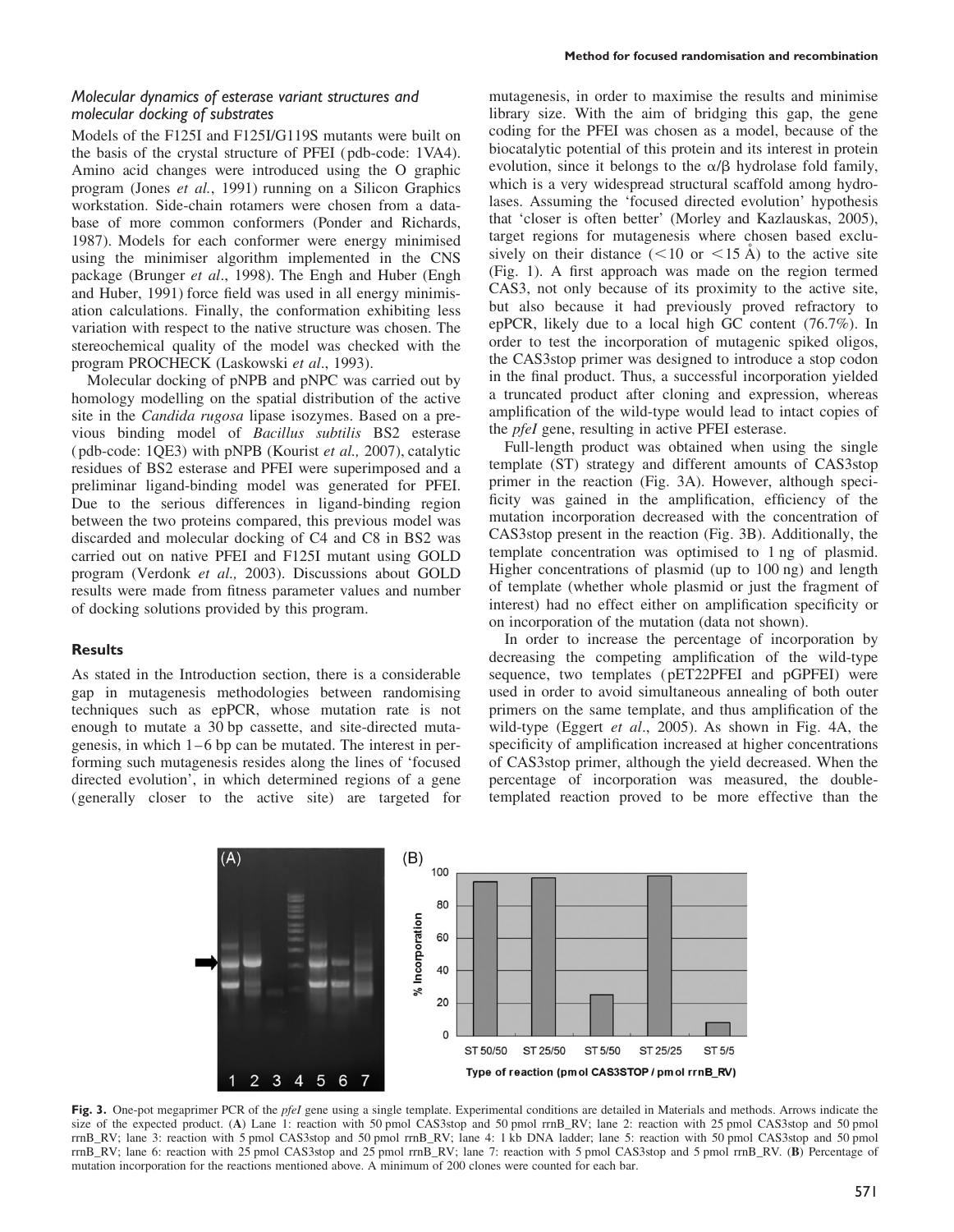Models of the F125I and F125I/G119S mutants were built on the basis of the crystal structure of PFEI ( pdb-code: 1VA4). Amino acid changes were introduced using the O graphic program (Jones et al., 1991) running on a Silicon Graphics workstation. Side-chain rotamers were chosen from a database of more common conformers (Ponder and Richards, 1987). Models for each conformer were energy minimised using the minimiser algorithm implemented in the CNS package (Brunger et al., 1998). The Engh and Huber (Engh and Huber, 1991) force field was used in all energy minimisation calculations. Finally, the conformation exhibiting less variation with respect to the native structure was chosen. The stereochemical quality of the model was checked with the program PROCHECK (Laskowski et al., 1993).

Molecular docking of pNPB and pNPC was carried out by homology modelling on the spatial distribution of the active site in the Candida rugosa lipase isozymes. Based on a previous binding model of Bacillus subtilis BS2 esterase ( pdb-code: 1QE3) with pNPB (Kourist et al., 2007), catalytic residues of BS2 esterase and PFEI were superimposed and a preliminar ligand-binding model was generated for PFEI. Due to the serious differences in ligand-binding region between the two proteins compared, this previous model was discarded and molecular docking of C4 and C8 in BS2 was carried out on native PFEI and F125I mutant using GOLD program (Verdonk et al., 2003). Discussions about GOLD results were made from fitness parameter values and number of docking solutions provided by this program.

#### Results

As stated in the Introduction section, there is a considerable gap in mutagenesis methodologies between randomising techniques such as epPCR, whose mutation rate is not enough to mutate a 30 bp cassette, and site-directed mutagenesis, in which  $1-6$  bp can be mutated. The interest in performing such mutagenesis resides along the lines of 'focused directed evolution', in which determined regions of a gene (generally closer to the active site) are targeted for mutagenesis, in order to maximise the results and minimise library size. With the aim of bridging this gap, the gene coding for the PFEI was chosen as a model, because of the biocatalytic potential of this protein and its interest in protein evolution, since it belongs to the  $\alpha/\beta$  hydrolase fold family, which is a very widespread structural scaffold among hydrolases. Assuming the 'focused directed evolution' hypothesis that 'closer is often better' (Morley and Kazlauskas, 2005), target regions for mutagenesis where chosen based exclusively on their distance  $(<10$  or  $<15$  Å) to the active site (Fig. 1). A first approach was made on the region termed CAS3, not only because of its proximity to the active site, but also because it had previously proved refractory to epPCR, likely due to a local high GC content (76.7%). In order to test the incorporation of mutagenic spiked oligos, the CAS3stop primer was designed to introduce a stop codon in the final product. Thus, a successful incorporation yielded a truncated product after cloning and expression, whereas amplification of the wild-type would lead to intact copies of the pfeI gene, resulting in active PFEI esterase.

Full-length product was obtained when using the single template (ST) strategy and different amounts of CAS3stop primer in the reaction (Fig. 3A). However, although specificity was gained in the amplification, efficiency of the mutation incorporation decreased with the concentration of CAS3stop present in the reaction (Fig. 3B). Additionally, the template concentration was optimised to 1 ng of plasmid. Higher concentrations of plasmid (up to 100 ng) and length of template (whether whole plasmid or just the fragment of interest) had no effect either on amplification specificity or on incorporation of the mutation (data not shown).

In order to increase the percentage of incorporation by decreasing the competing amplification of the wild-type sequence, two templates ( pET22PFEI and pGPFEI) were used in order to avoid simultaneous annealing of both outer primers on the same template, and thus amplification of the wild-type (Eggert et al., 2005). As shown in Fig. 4A, the specificity of amplification increased at higher concentrations of CAS3stop primer, although the yield decreased. When the percentage of incorporation was measured, the doubletemplated reaction proved to be more effective than the



Fig. 3. One-pot megaprimer PCR of the *pfeI* gene using a single template. Experimental conditions are detailed in Materials and methods. Arrows indicate the size of the expected product. (A) Lane 1: reaction with 50 pmol CAS3stop and 50 pmol rrnB RV; lane 2: reaction with 25 pmol CAS3stop and 50 pmol rrnB\_RV; lane 3: reaction with 5 pmol CAS3stop and 50 pmol rrnB\_RV; lane 4: 1 kb DNA ladder; lane 5: reaction with 50 pmol CAS3stop and 50 pmol rrnB\_RV; lane 6: reaction with 25 pmol CAS3stop and 25 pmol rrnB\_RV; lane 7: reaction with 5 pmol CAS3stop and 5 pmol rrnB\_RV. (B) Percentage of mutation incorporation for the reactions mentioned above. A minimum of 200 clones were counted for each bar.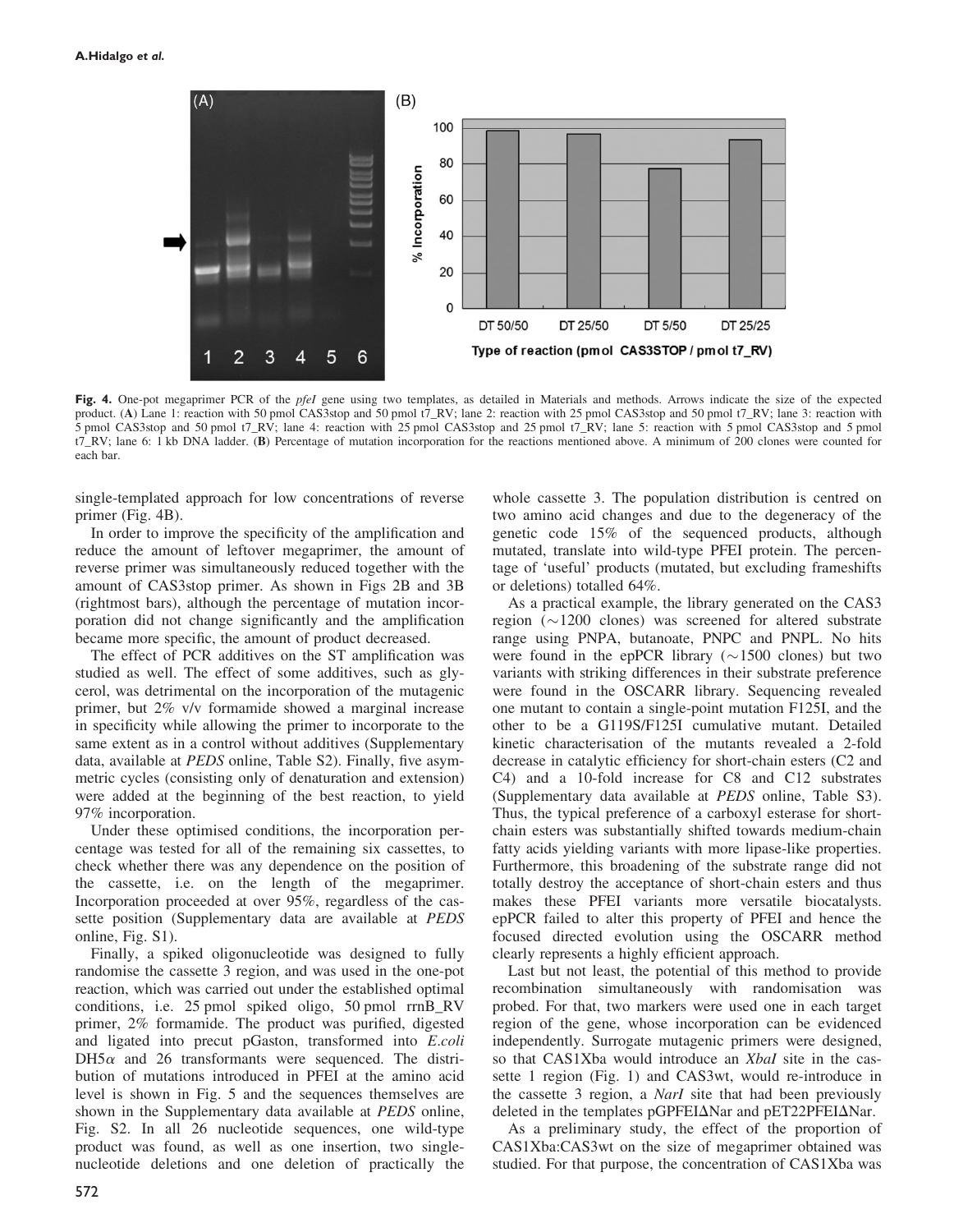

Fig. 4. One-pot megaprimer PCR of the *pfeI* gene using two templates, as detailed in Materials and methods. Arrows indicate the size of the expected product. (A) Lane 1: reaction with 50 pmol CAS3stop and 50 pmol t7\_RV; lane 2: reaction with 25 pmol CAS3stop and 50 pmol t7\_RV; lane 3: reaction with 5 pmol CAS3stop and 50 pmol t7\_RV; lane 4: reaction with 25 pmol CAS3stop and 25 pmol t7\_RV; lane 5: reaction with 5 pmol CAS3stop and 5 pmol t7\_RV; lane 6: 1 kb DNA ladder. (B) Percentage of mutation incorporation for the reactions mentioned above. A minimum of 200 clones were counted for each bar.

single-templated approach for low concentrations of reverse primer (Fig. 4B).

In order to improve the specificity of the amplification and reduce the amount of leftover megaprimer, the amount of reverse primer was simultaneously reduced together with the amount of CAS3stop primer. As shown in Figs 2B and 3B (rightmost bars), although the percentage of mutation incorporation did not change significantly and the amplification became more specific, the amount of product decreased.

The effect of PCR additives on the ST amplification was studied as well. The effect of some additives, such as glycerol, was detrimental on the incorporation of the mutagenic primer, but 2% v/v formamide showed a marginal increase in specificity while allowing the primer to incorporate to the same extent as in a control without additives (Supplementary data, available at PEDS online, Table S2). Finally, five asymmetric cycles (consisting only of denaturation and extension) were added at the beginning of the best reaction, to yield 97% incorporation.

Under these optimised conditions, the incorporation percentage was tested for all of the remaining six cassettes, to check whether there was any dependence on the position of the cassette, i.e. on the length of the megaprimer. Incorporation proceeded at over 95%, regardless of the cassette position (Supplementary data are available at PEDS online, Fig. S1).

Finally, a spiked oligonucleotide was designed to fully randomise the cassette 3 region, and was used in the one-pot reaction, which was carried out under the established optimal conditions, i.e. 25 pmol spiked oligo, 50 pmol rrnB\_RV primer, 2% formamide. The product was purified, digested and ligated into precut pGaston, transformed into E.coli  $DH5\alpha$  and 26 transformants were sequenced. The distribution of mutations introduced in PFEI at the amino acid level is shown in Fig. 5 and the sequences themselves are shown in the Supplementary data available at PEDS online, Fig. S2. In all 26 nucleotide sequences, one wild-type product was found, as well as one insertion, two singlenucleotide deletions and one deletion of practically the whole cassette 3. The population distribution is centred on two amino acid changes and due to the degeneracy of the genetic code 15% of the sequenced products, although mutated, translate into wild-type PFEI protein. The percentage of 'useful' products (mutated, but excluding frameshifts or deletions) totalled 64%.

As a practical example, the library generated on the CAS3 region  $(\sim 1200$  clones) was screened for altered substrate range using PNPA, butanoate, PNPC and PNPL. No hits were found in the epPCR library ( $\sim$ 1500 clones) but two variants with striking differences in their substrate preference were found in the OSCARR library. Sequencing revealed one mutant to contain a single-point mutation F125I, and the other to be a G119S/F125I cumulative mutant. Detailed kinetic characterisation of the mutants revealed a 2-fold decrease in catalytic efficiency for short-chain esters (C2 and C4) and a 10-fold increase for C8 and C12 substrates (Supplementary data available at PEDS online, Table S3). Thus, the typical preference of a carboxyl esterase for shortchain esters was substantially shifted towards medium-chain fatty acids yielding variants with more lipase-like properties. Furthermore, this broadening of the substrate range did not totally destroy the acceptance of short-chain esters and thus makes these PFEI variants more versatile biocatalysts. epPCR failed to alter this property of PFEI and hence the focused directed evolution using the OSCARR method clearly represents a highly efficient approach.

Last but not least, the potential of this method to provide recombination simultaneously with randomisation was probed. For that, two markers were used one in each target region of the gene, whose incorporation can be evidenced independently. Surrogate mutagenic primers were designed, so that CAS1Xba would introduce an Xbal site in the cassette 1 region (Fig. 1) and CAS3wt, would re-introduce in the cassette 3 region, a NarI site that had been previously deleted in the templates pGPFEI $\Delta$ Nar and pET22PFEI $\Delta$ Nar.

As a preliminary study, the effect of the proportion of CAS1Xba:CAS3wt on the size of megaprimer obtained was studied. For that purpose, the concentration of CAS1Xba was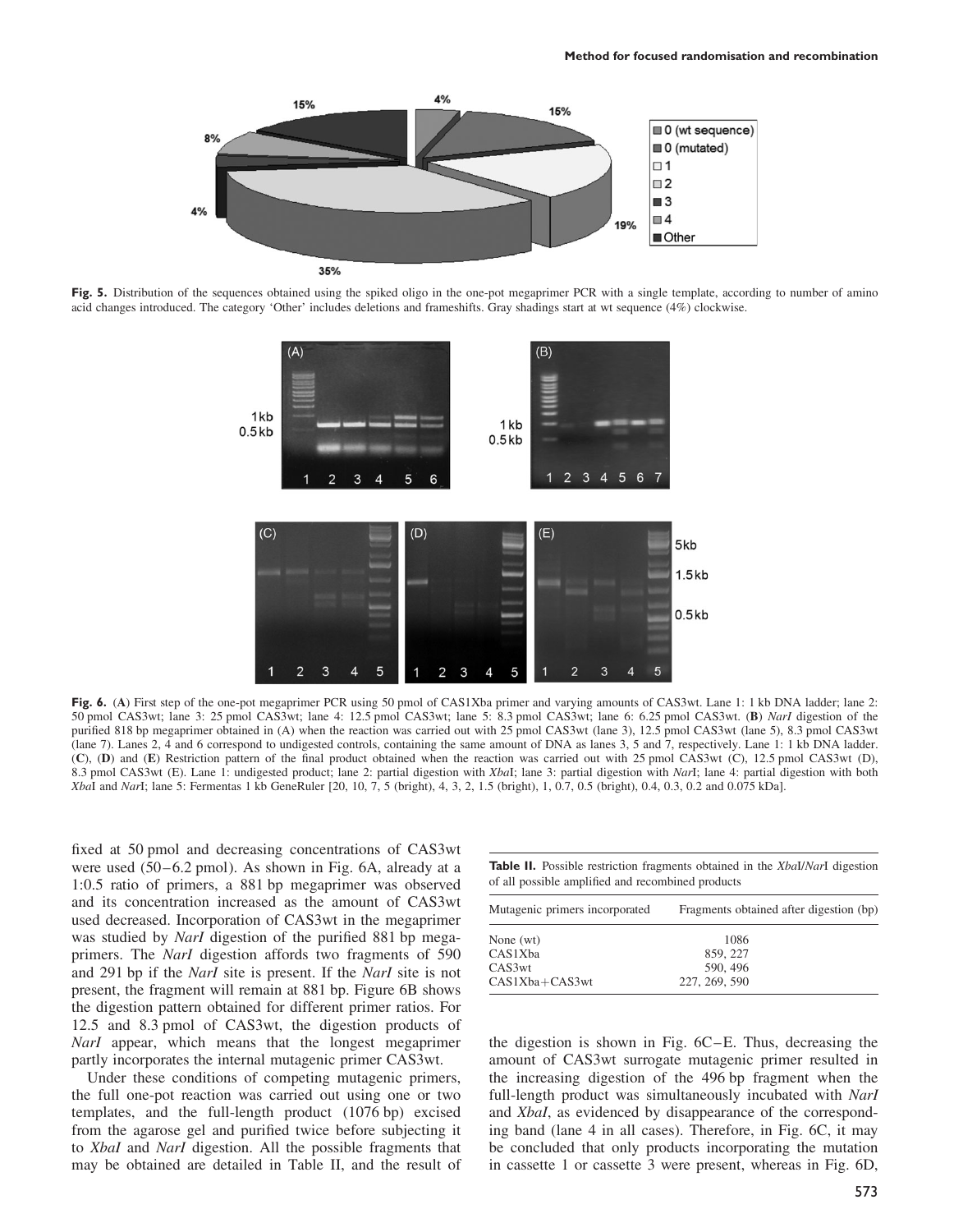

Fig. 5. Distribution of the sequences obtained using the spiked oligo in the one-pot megaprimer PCR with a single template, according to number of amino acid changes introduced. The category 'Other' includes deletions and frameshifts. Gray shadings start at wt sequence (4%) clockwise.



Fig. 6. (A) First step of the one-pot megaprimer PCR using 50 pmol of CAS1Xba primer and varying amounts of CAS3wt. Lane 1: 1 kb DNA ladder; lane 2: 50 pmol CAS3wt; lane 3: 25 pmol CAS3wt; lane 4: 12.5 pmol CAS3wt; lane 5: 8.3 pmol CAS3wt; lane 6: 6.25 pmol CAS3wt. (B) NarI digestion of the purified 818 bp megaprimer obtained in (A) when the reaction was carried out with 25 pmol CAS3wt (lane 3), 12.5 pmol CAS3wt (lane 5), 8.3 pmol CAS3wt (lane 7). Lanes 2, 4 and 6 correspond to undigested controls, containing the same amount of DNA as lanes 3, 5 and 7, respectively. Lane 1: 1 kb DNA ladder. (C), (D) and (E) Restriction pattern of the final product obtained when the reaction was carried out with 25 pmol CAS3wt (C), 12.5 pmol CAS3wt (D), 8.3 pmol CAS3wt (E). Lane 1: undigested product; lane 2: partial digestion with XbaI; lane 3: partial digestion with NarI; lane 4: partial digestion with both XbaI and NarI; lane 5: Fermentas 1 kb GeneRuler [20, 10, 7, 5 (bright), 4, 3, 2, 1.5 (bright), 1, 0.7, 0.5 (bright), 0.4, 0.3, 0.2 and 0.075 kDa].

fixed at 50 pmol and decreasing concentrations of CAS3wt were used  $(50 - 6.2 \text{ pmol})$ . As shown in Fig. 6A, already at a 1:0.5 ratio of primers, a 881 bp megaprimer was observed and its concentration increased as the amount of CAS3wt used decreased. Incorporation of CAS3wt in the megaprimer was studied by *NarI* digestion of the purified 881 bp megaprimers. The NarI digestion affords two fragments of 590 and 291 bp if the NarI site is present. If the NarI site is not present, the fragment will remain at 881 bp. Figure 6B shows the digestion pattern obtained for different primer ratios. For 12.5 and 8.3 pmol of CAS3wt, the digestion products of NarI appear, which means that the longest megaprimer partly incorporates the internal mutagenic primer CAS3wt.

Under these conditions of competing mutagenic primers, the full one-pot reaction was carried out using one or two templates, and the full-length product (1076 bp) excised from the agarose gel and purified twice before subjecting it to XbaI and NarI digestion. All the possible fragments that may be obtained are detailed in Table II, and the result of Table II. Possible restriction fragments obtained in the XbaI/NarI digestion of all possible amplified and recombined products

| Mutagenic primers incorporated | Fragments obtained after digestion (bp) |  |  |
|--------------------------------|-----------------------------------------|--|--|
| None (wt)                      | 1086                                    |  |  |
| CAS1Xba                        | 859, 227                                |  |  |
| CAS3wt                         | 590, 496                                |  |  |
| CAS1Xba+CAS3wt                 | 227, 269, 590                           |  |  |

the digestion is shown in Fig. 6C–E. Thus, decreasing the amount of CAS3wt surrogate mutagenic primer resulted in the increasing digestion of the 496 bp fragment when the full-length product was simultaneously incubated with NarI and XbaI, as evidenced by disappearance of the corresponding band (lane 4 in all cases). Therefore, in Fig. 6C, it may be concluded that only products incorporating the mutation in cassette 1 or cassette 3 were present, whereas in Fig. 6D,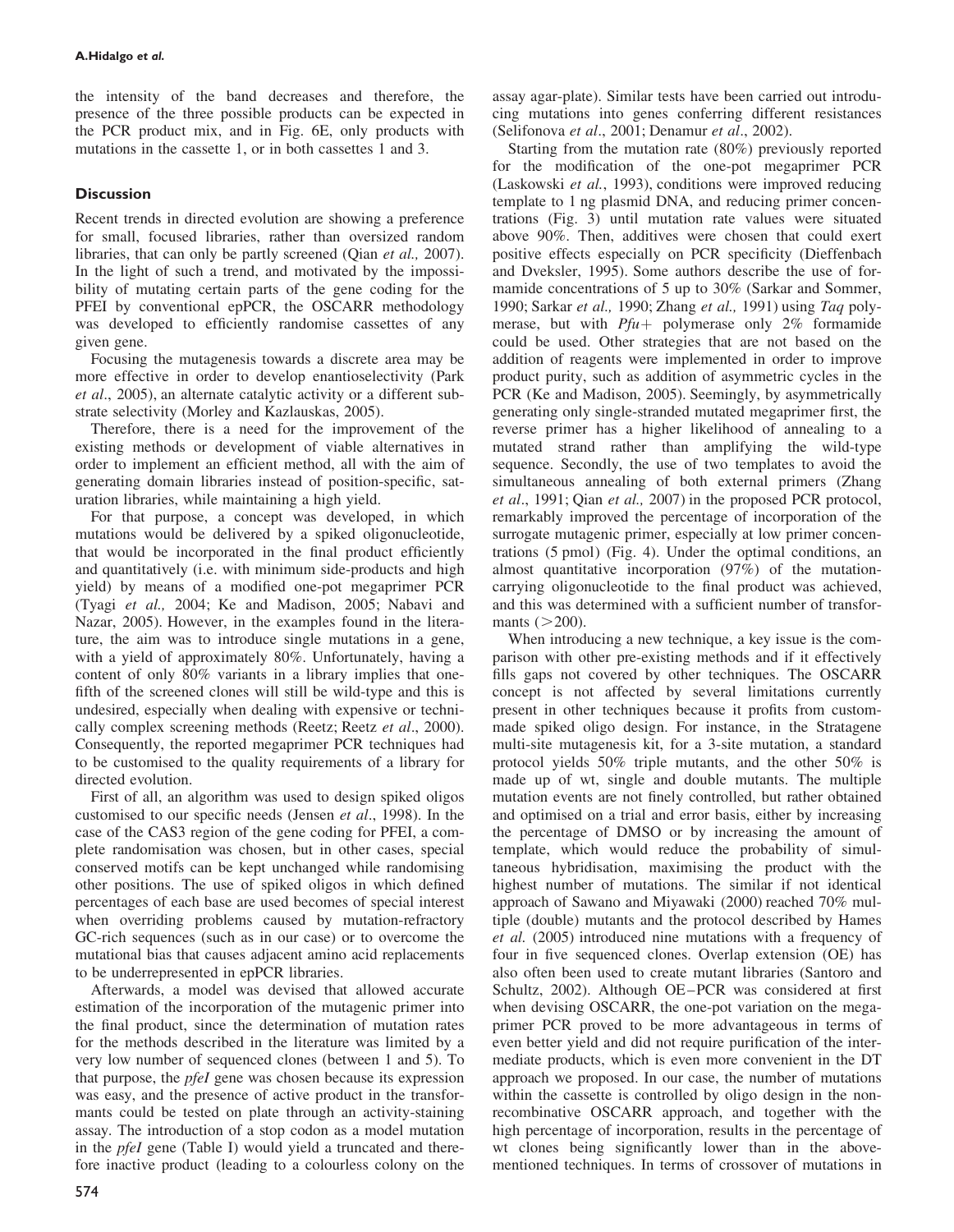the intensity of the band decreases and therefore, the presence of the three possible products can be expected in the PCR product mix, and in Fig. 6E, only products with mutations in the cassette 1, or in both cassettes 1 and 3.

# **Discussion**

Recent trends in directed evolution are showing a preference for small, focused libraries, rather than oversized random libraries, that can only be partly screened (Qian *et al.*, 2007). In the light of such a trend, and motivated by the impossibility of mutating certain parts of the gene coding for the PFEI by conventional epPCR, the OSCARR methodology was developed to efficiently randomise cassettes of any given gene.

Focusing the mutagenesis towards a discrete area may be more effective in order to develop enantioselectivity (Park et al., 2005), an alternate catalytic activity or a different substrate selectivity (Morley and Kazlauskas, 2005).

Therefore, there is a need for the improvement of the existing methods or development of viable alternatives in order to implement an efficient method, all with the aim of generating domain libraries instead of position-specific, saturation libraries, while maintaining a high yield.

For that purpose, a concept was developed, in which mutations would be delivered by a spiked oligonucleotide, that would be incorporated in the final product efficiently and quantitatively (i.e. with minimum side-products and high yield) by means of a modified one-pot megaprimer PCR (Tyagi et al., 2004; Ke and Madison, 2005; Nabavi and Nazar, 2005). However, in the examples found in the literature, the aim was to introduce single mutations in a gene, with a yield of approximately 80%. Unfortunately, having a content of only 80% variants in a library implies that onefifth of the screened clones will still be wild-type and this is undesired, especially when dealing with expensive or technically complex screening methods (Reetz; Reetz et al., 2000). Consequently, the reported megaprimer PCR techniques had to be customised to the quality requirements of a library for directed evolution.

First of all, an algorithm was used to design spiked oligos customised to our specific needs (Jensen et al., 1998). In the case of the CAS3 region of the gene coding for PFEI, a complete randomisation was chosen, but in other cases, special conserved motifs can be kept unchanged while randomising other positions. The use of spiked oligos in which defined percentages of each base are used becomes of special interest when overriding problems caused by mutation-refractory GC-rich sequences (such as in our case) or to overcome the mutational bias that causes adjacent amino acid replacements to be underrepresented in epPCR libraries.

Afterwards, a model was devised that allowed accurate estimation of the incorporation of the mutagenic primer into the final product, since the determination of mutation rates for the methods described in the literature was limited by a very low number of sequenced clones (between 1 and 5). To that purpose, the pfeI gene was chosen because its expression was easy, and the presence of active product in the transformants could be tested on plate through an activity-staining assay. The introduction of a stop codon as a model mutation in the *pfeI* gene (Table I) would yield a truncated and therefore inactive product (leading to a colourless colony on the

assay agar-plate). Similar tests have been carried out introducing mutations into genes conferring different resistances (Selifonova et al., 2001; Denamur et al., 2002).

Starting from the mutation rate (80%) previously reported for the modification of the one-pot megaprimer PCR (Laskowski et al., 1993), conditions were improved reducing template to 1 ng plasmid DNA, and reducing primer concentrations (Fig. 3) until mutation rate values were situated above 90%. Then, additives were chosen that could exert positive effects especially on PCR specificity (Dieffenbach and Dveksler, 1995). Some authors describe the use of formamide concentrations of 5 up to 30% (Sarkar and Sommer, 1990; Sarkar et al., 1990; Zhang et al., 1991) using Taq polymerase, but with  $Pfu$ + polymerase only 2% formamide could be used. Other strategies that are not based on the addition of reagents were implemented in order to improve product purity, such as addition of asymmetric cycles in the PCR (Ke and Madison, 2005). Seemingly, by asymmetrically generating only single-stranded mutated megaprimer first, the reverse primer has a higher likelihood of annealing to a mutated strand rather than amplifying the wild-type sequence. Secondly, the use of two templates to avoid the simultaneous annealing of both external primers (Zhang et al., 1991; Qian et al., 2007) in the proposed PCR protocol, remarkably improved the percentage of incorporation of the surrogate mutagenic primer, especially at low primer concentrations (5 pmol) (Fig. 4). Under the optimal conditions, an almost quantitative incorporation (97%) of the mutationcarrying oligonucleotide to the final product was achieved, and this was determined with a sufficient number of transformants  $(>200)$ .

When introducing a new technique, a key issue is the comparison with other pre-existing methods and if it effectively fills gaps not covered by other techniques. The OSCARR concept is not affected by several limitations currently present in other techniques because it profits from custommade spiked oligo design. For instance, in the Stratagene multi-site mutagenesis kit, for a 3-site mutation, a standard protocol yields 50% triple mutants, and the other 50% is made up of wt, single and double mutants. The multiple mutation events are not finely controlled, but rather obtained and optimised on a trial and error basis, either by increasing the percentage of DMSO or by increasing the amount of template, which would reduce the probability of simultaneous hybridisation, maximising the product with the highest number of mutations. The similar if not identical approach of Sawano and Miyawaki (2000) reached 70% multiple (double) mutants and the protocol described by Hames et al. (2005) introduced nine mutations with a frequency of four in five sequenced clones. Overlap extension (OE) has also often been used to create mutant libraries (Santoro and Schultz, 2002). Although OE-PCR was considered at first when devising OSCARR, the one-pot variation on the megaprimer PCR proved to be more advantageous in terms of even better yield and did not require purification of the intermediate products, which is even more convenient in the DT approach we proposed. In our case, the number of mutations within the cassette is controlled by oligo design in the nonrecombinative OSCARR approach, and together with the high percentage of incorporation, results in the percentage of wt clones being significantly lower than in the abovementioned techniques. In terms of crossover of mutations in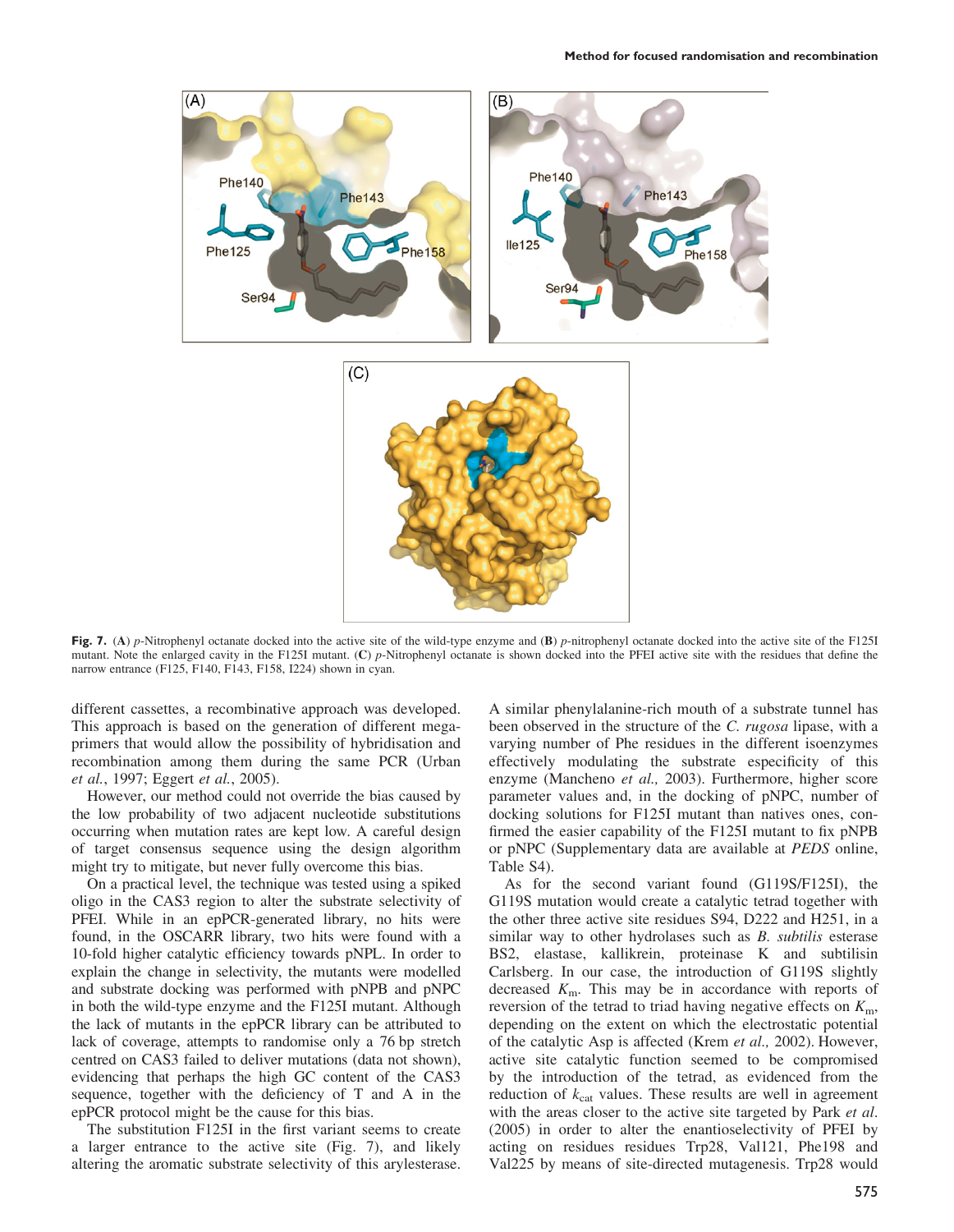

Fig. 7. (A) p-Nitrophenyl octanate docked into the active site of the wild-type enzyme and (B) p-nitrophenyl octanate docked into the active site of the F125I mutant. Note the enlarged cavity in the F125I mutant. (C) p-Nitrophenyl octanate is shown docked into the PFEI active site with the residues that define the narrow entrance (F125, F140, F143, F158, I224) shown in cyan.

different cassettes, a recombinative approach was developed. This approach is based on the generation of different megaprimers that would allow the possibility of hybridisation and recombination among them during the same PCR (Urban et al., 1997; Eggert et al., 2005).

However, our method could not override the bias caused by the low probability of two adjacent nucleotide substitutions occurring when mutation rates are kept low. A careful design of target consensus sequence using the design algorithm might try to mitigate, but never fully overcome this bias.

On a practical level, the technique was tested using a spiked oligo in the CAS3 region to alter the substrate selectivity of PFEI. While in an epPCR-generated library, no hits were found, in the OSCARR library, two hits were found with a 10-fold higher catalytic efficiency towards pNPL. In order to explain the change in selectivity, the mutants were modelled and substrate docking was performed with pNPB and pNPC in both the wild-type enzyme and the F125I mutant. Although the lack of mutants in the epPCR library can be attributed to lack of coverage, attempts to randomise only a 76 bp stretch centred on CAS3 failed to deliver mutations (data not shown), evidencing that perhaps the high GC content of the CAS3 sequence, together with the deficiency of T and A in the epPCR protocol might be the cause for this bias.

The substitution F125I in the first variant seems to create a larger entrance to the active site (Fig. 7), and likely altering the aromatic substrate selectivity of this arylesterase. A similar phenylalanine-rich mouth of a substrate tunnel has been observed in the structure of the C. *rugosa* lipase, with a varying number of Phe residues in the different isoenzymes effectively modulating the substrate especificity of this enzyme (Mancheno et al., 2003). Furthermore, higher score parameter values and, in the docking of pNPC, number of docking solutions for F125I mutant than natives ones, confirmed the easier capability of the F125I mutant to fix pNPB or pNPC (Supplementary data are available at PEDS online, Table S4).

As for the second variant found (G119S/F125I), the G119S mutation would create a catalytic tetrad together with the other three active site residues S94, D222 and H251, in a similar way to other hydrolases such as *B*. *subtilis* esterase BS2, elastase, kallikrein, proteinase K and subtilisin Carlsberg. In our case, the introduction of G119S slightly decreased  $K<sub>m</sub>$ . This may be in accordance with reports of reversion of the tetrad to triad having negative effects on  $K<sub>m</sub>$ , depending on the extent on which the electrostatic potential of the catalytic Asp is affected (Krem et al., 2002). However, active site catalytic function seemed to be compromised by the introduction of the tetrad, as evidenced from the reduction of  $k_{cat}$  values. These results are well in agreement with the areas closer to the active site targeted by Park et al. (2005) in order to alter the enantioselectivity of PFEI by acting on residues residues Trp28, Val121, Phe198 and Val225 by means of site-directed mutagenesis. Trp28 would